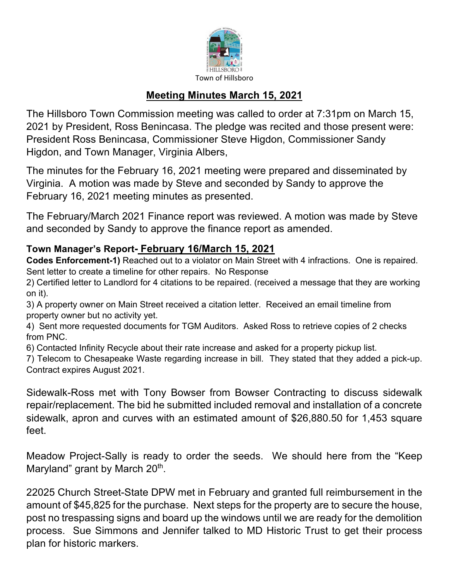

## **Meeting Minutes March 15, 2021**

The Hillsboro Town Commission meeting was called to order at 7:31pm on March 15, 2021 by President, Ross Benincasa. The pledge was recited and those present were: President Ross Benincasa, Commissioner Steve Higdon, Commissioner Sandy Higdon, and Town Manager, Virginia Albers,

The minutes for the February 16, 2021 meeting were prepared and disseminated by Virginia. A motion was made by Steve and seconded by Sandy to approve the February 16, 2021 meeting minutes as presented.

The February/March 2021 Finance report was reviewed. A motion was made by Steve and seconded by Sandy to approve the finance report as amended.

## **Town Manager's Report- February 16/March 15, 2021**

**Codes Enforcement-1)** Reached out to a violator on Main Street with 4 infractions. One is repaired. Sent letter to create a timeline for other repairs. No Response

2) Certified letter to Landlord for 4 citations to be repaired. (received a message that they are working on it).

3) A property owner on Main Street received a citation letter. Received an email timeline from property owner but no activity yet.

4) Sent more requested documents for TGM Auditors. Asked Ross to retrieve copies of 2 checks from PNC.

6) Contacted Infinity Recycle about their rate increase and asked for a property pickup list.

7) Telecom to Chesapeake Waste regarding increase in bill. They stated that they added a pick-up. Contract expires August 2021.

Sidewalk-Ross met with Tony Bowser from Bowser Contracting to discuss sidewalk repair/replacement. The bid he submitted included removal and installation of a concrete sidewalk, apron and curves with an estimated amount of \$26,880.50 for 1,453 square feet.

Meadow Project-Sally is ready to order the seeds. We should here from the "Keep Maryland" grant by March  $20<sup>th</sup>$ .

22025 Church Street-State DPW met in February and granted full reimbursement in the amount of \$45,825 for the purchase. Next steps for the property are to secure the house, post no trespassing signs and board up the windows until we are ready for the demolition process. Sue Simmons and Jennifer talked to MD Historic Trust to get their process plan for historic markers.